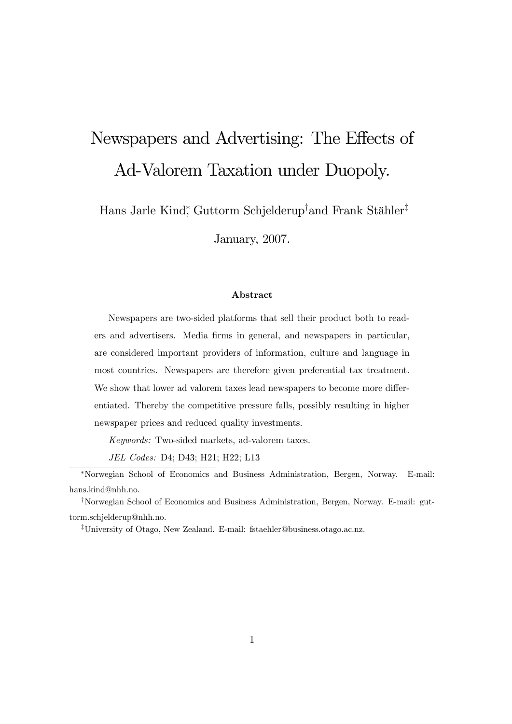# Newspapers and Advertising: The Effects of Ad-Valorem Taxation under Duopoly.

Hans Jarle Kind<sup>∗</sup> , Guttorm Schjelderup† and Frank Stähler‡

January, 2007.

#### Abstract

Newspapers are two-sided platforms that sell their product both to readers and advertisers. Media firms in general, and newspapers in particular, are considered important providers of information, culture and language in most countries. Newspapers are therefore given preferential tax treatment. We show that lower ad valorem taxes lead newspapers to become more differentiated. Thereby the competitive pressure falls, possibly resulting in higher newspaper prices and reduced quality investments.

Keywords: Two-sided markets, ad-valorem taxes.

JEL Codes: D4; D43; H21; H22; L13

<sup>∗</sup>Norwegian School of Economics and Business Administration, Bergen, Norway. E-mail: hans.kind@nhh.no.

<sup>†</sup>Norwegian School of Economics and Business Administration, Bergen, Norway. E-mail: guttorm.schjelderup@nhh.no.

<sup>‡</sup>University of Otago, New Zealand. E-mail: fstaehler@business.otago.ac.nz.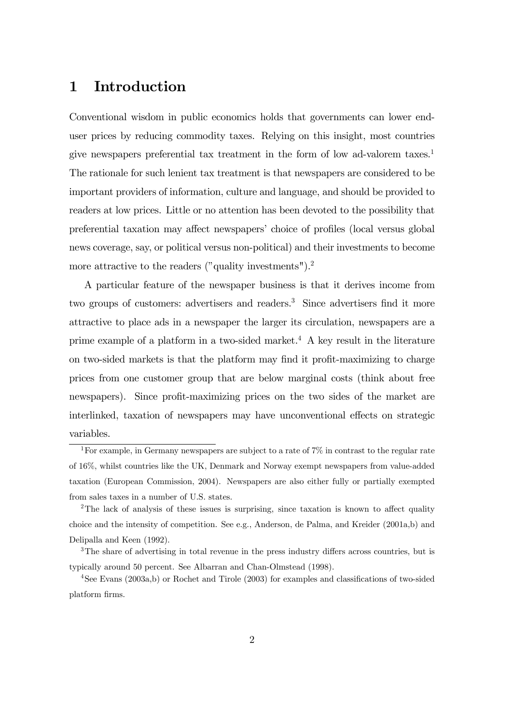### 1 Introduction

Conventional wisdom in public economics holds that governments can lower enduser prices by reducing commodity taxes. Relying on this insight, most countries give newspapers preferential tax treatment in the form of low ad-valorem taxes.1 The rationale for such lenient tax treatment is that newspapers are considered to be important providers of information, culture and language, and should be provided to readers at low prices. Little or no attention has been devoted to the possibility that preferential taxation may affect newspapers' choice of profiles (local versus global news coverage, say, or political versus non-political) and their investments to become more attractive to the readers ("quality investments").<sup>2</sup>

A particular feature of the newspaper business is that it derives income from two groups of customers: advertisers and readers.<sup>3</sup> Since advertisers find it more attractive to place ads in a newspaper the larger its circulation, newspapers are a prime example of a platform in a two-sided market.<sup>4</sup> A key result in the literature on two-sided markets is that the platform may find it profit-maximizing to charge prices from one customer group that are below marginal costs (think about free newspapers). Since profit-maximizing prices on the two sides of the market are interlinked, taxation of newspapers may have unconventional effects on strategic variables.

<sup>&</sup>lt;sup>1</sup>For example, in Germany newspapers are subject to a rate of  $7\%$  in contrast to the regular rate of 16%, whilst countries like the UK, Denmark and Norway exempt newspapers from value-added taxation (European Commission, 2004). Newspapers are also either fully or partially exempted from sales taxes in a number of U.S. states.

<sup>&</sup>lt;sup>2</sup>The lack of analysis of these issues is surprising, since taxation is known to affect quality choice and the intensity of competition. See e.g., Anderson, de Palma, and Kreider (2001a,b) and Delipalla and Keen (1992).

<sup>&</sup>lt;sup>3</sup>The share of advertising in total revenue in the press industry differs across countries, but is typically around 50 percent. See Albarran and Chan-Olmstead (1998).

<sup>4</sup>See Evans (2003a,b) or Rochet and Tirole (2003) for examples and classifications of two-sided platform firms.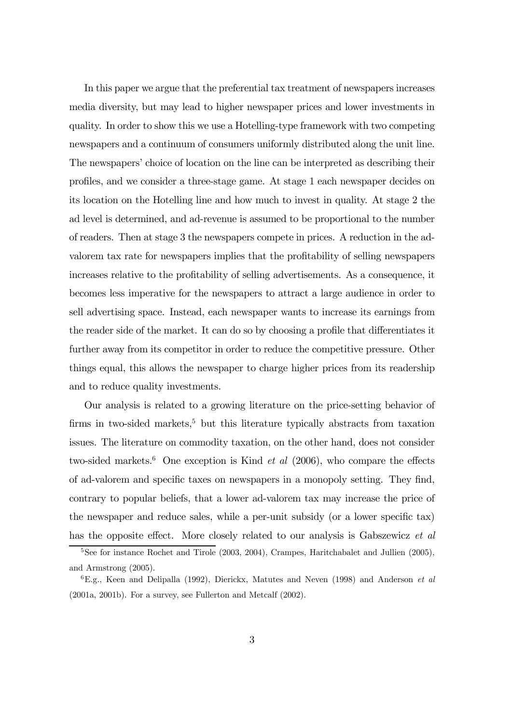In this paper we argue that the preferential tax treatment of newspapers increases media diversity, but may lead to higher newspaper prices and lower investments in quality. In order to show this we use a Hotelling-type framework with two competing newspapers and a continuum of consumers uniformly distributed along the unit line. The newspapers' choice of location on the line can be interpreted as describing their profiles, and we consider a three-stage game. At stage 1 each newspaper decides on its location on the Hotelling line and how much to invest in quality. At stage 2 the ad level is determined, and ad-revenue is assumed to be proportional to the number of readers. Then at stage 3 the newspapers compete in prices. A reduction in the advalorem tax rate for newspapers implies that the profitability of selling newspapers increases relative to the profitability of selling advertisements. As a consequence, it becomes less imperative for the newspapers to attract a large audience in order to sell advertising space. Instead, each newspaper wants to increase its earnings from the reader side of the market. It can do so by choosing a profile that differentiates it further away from its competitor in order to reduce the competitive pressure. Other things equal, this allows the newspaper to charge higher prices from its readership and to reduce quality investments.

Our analysis is related to a growing literature on the price-setting behavior of firms in two-sided markets, $5$  but this literature typically abstracts from taxation issues. The literature on commodity taxation, on the other hand, does not consider two-sided markets.<sup>6</sup> One exception is Kind *et al* (2006), who compare the effects of ad-valorem and specific taxes on newspapers in a monopoly setting. They find, contrary to popular beliefs, that a lower ad-valorem tax may increase the price of the newspaper and reduce sales, while a per-unit subsidy (or a lower specific tax) has the opposite effect. More closely related to our analysis is Gabszewicz et al

<sup>&</sup>lt;sup>5</sup>See for instance Rochet and Tirole (2003, 2004), Crampes, Haritchabalet and Jullien (2005), and Armstrong (2005).

 ${}^{6}E.g.,$  Keen and Delipalla (1992), Dierickx, Matutes and Neven (1998) and Anderson et al (2001a, 2001b). For a survey, see Fullerton and Metcalf (2002).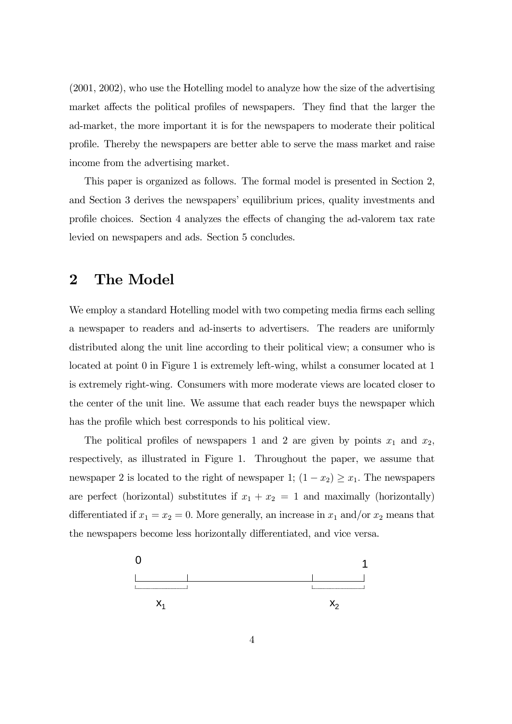(2001, 2002), who use the Hotelling model to analyze how the size of the advertising market affects the political profiles of newspapers. They find that the larger the ad-market, the more important it is for the newspapers to moderate their political profile. Thereby the newspapers are better able to serve the mass market and raise income from the advertising market.

This paper is organized as follows. The formal model is presented in Section 2, and Section 3 derives the newspapers' equilibrium prices, quality investments and profile choices. Section 4 analyzes the effects of changing the ad-valorem tax rate levied on newspapers and ads. Section 5 concludes.

# 2 The Model

We employ a standard Hotelling model with two competing media firms each selling a newspaper to readers and ad-inserts to advertisers. The readers are uniformly distributed along the unit line according to their political view; a consumer who is located at point 0 in Figure 1 is extremely left-wing, whilst a consumer located at 1 is extremely right-wing. Consumers with more moderate views are located closer to the center of the unit line. We assume that each reader buys the newspaper which has the profile which best corresponds to his political view.

The political profiles of newspapers 1 and 2 are given by points  $x_1$  and  $x_2$ , respectively, as illustrated in Figure 1. Throughout the paper, we assume that newspaper 2 is located to the right of newspaper 1;  $(1 - x_2) \ge x_1$ . The newspapers are perfect (horizontal) substitutes if  $x_1 + x_2 = 1$  and maximally (horizontally) differentiated if  $x_1 = x_2 = 0$ . More generally, an increase in  $x_1$  and/or  $x_2$  means that the newspapers become less horizontally differentiated, and vice versa.

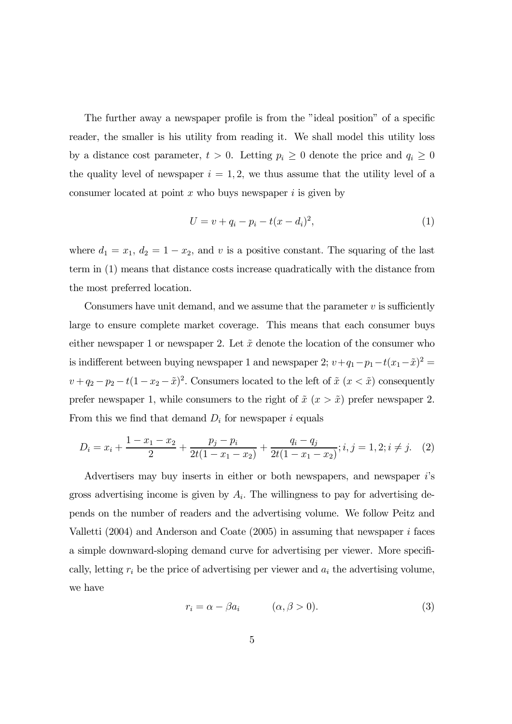The further away a newspaper profile is from the "ideal position" of a specific reader, the smaller is his utility from reading it. We shall model this utility loss by a distance cost parameter,  $t > 0$ . Letting  $p_i \geq 0$  denote the price and  $q_i \geq 0$ the quality level of newspaper  $i = 1, 2$ , we thus assume that the utility level of a consumer located at point  $x$  who buys newspaper  $i$  is given by

$$
U = v + q_i - p_i - t(x - d_i)^2,
$$
\n(1)

where  $d_1 = x_1, d_2 = 1 - x_2$ , and v is a positive constant. The squaring of the last term in (1) means that distance costs increase quadratically with the distance from the most preferred location.

Consumers have unit demand, and we assume that the parameter  $v$  is sufficiently large to ensure complete market coverage. This means that each consumer buys either newspaper 1 or newspaper 2. Let  $\tilde{x}$  denote the location of the consumer who is indifferent between buying newspaper 1 and newspaper 2;  $v+q_1-p_1-t(x_1-\tilde{x})^2$  =  $v + q_2 - p_2 - t(1 - x_2 - \tilde{x})^2$ . Consumers located to the left of  $\tilde{x}$   $(x < \tilde{x})$  consequently prefer newspaper 1, while consumers to the right of  $\tilde{x}$  ( $x > \tilde{x}$ ) prefer newspaper 2. From this we find that demand  $D_i$  for newspaper i equals

$$
D_i = x_i + \frac{1 - x_1 - x_2}{2} + \frac{p_j - p_i}{2t(1 - x_1 - x_2)} + \frac{q_i - q_j}{2t(1 - x_1 - x_2)}; i, j = 1, 2; i \neq j.
$$
 (2)

Advertisers may buy inserts in either or both newspapers, and newspaper i's gross advertising income is given by  $A_i$ . The willingness to pay for advertising depends on the number of readers and the advertising volume. We follow Peitz and Valletti  $(2004)$  and Anderson and Coate  $(2005)$  in assuming that newspaper *i* faces a simple downward-sloping demand curve for advertising per viewer. More specifically, letting  $r_i$  be the price of advertising per viewer and  $a_i$  the advertising volume, we have

$$
r_i = \alpha - \beta a_i \qquad (\alpha, \beta > 0). \tag{3}
$$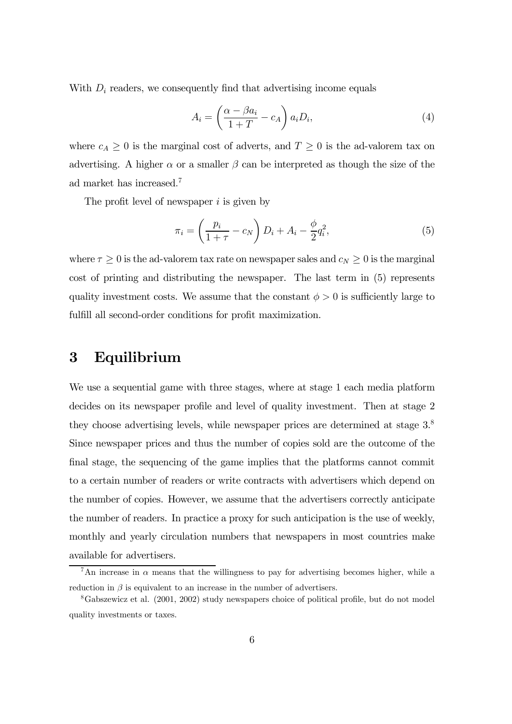With  $D_i$  readers, we consequently find that advertising income equals

$$
A_i = \left(\frac{\alpha - \beta a_i}{1 + T} - c_A\right) a_i D_i,
$$
\n(4)

where  $c_A \geq 0$  is the marginal cost of adverts, and  $T \geq 0$  is the ad-valorem tax on advertising. A higher  $\alpha$  or a smaller  $\beta$  can be interpreted as though the size of the ad market has increased. 7

The profit level of newspaper  $i$  is given by

$$
\pi_i = \left(\frac{p_i}{1+\tau} - c_N\right)D_i + A_i - \frac{\phi}{2}q_i^2,\tag{5}
$$

where  $\tau \geq 0$  is the ad-valorem tax rate on newspaper sales and  $c_N \geq 0$  is the marginal cost of printing and distributing the newspaper. The last term in (5) represents quality investment costs. We assume that the constant  $\phi > 0$  is sufficiently large to fulfill all second-order conditions for profit maximization.

### 3 Equilibrium

We use a sequential game with three stages, where at stage 1 each media platform decides on its newspaper profile and level of quality investment. Then at stage 2 they choose advertising levels, while newspaper prices are determined at stage 3.8 Since newspaper prices and thus the number of copies sold are the outcome of the final stage, the sequencing of the game implies that the platforms cannot commit to a certain number of readers or write contracts with advertisers which depend on the number of copies. However, we assume that the advertisers correctly anticipate the number of readers. In practice a proxy for such anticipation is the use of weekly, monthly and yearly circulation numbers that newspapers in most countries make available for advertisers.

<sup>&</sup>lt;sup>7</sup>An increase in  $\alpha$  means that the willingness to pay for advertising becomes higher, while a reduction in  $\beta$  is equivalent to an increase in the number of advertisers.

<sup>8</sup>Gabszewicz et al. (2001, 2002) study newspapers choice of political profile, but do not model quality investments or taxes.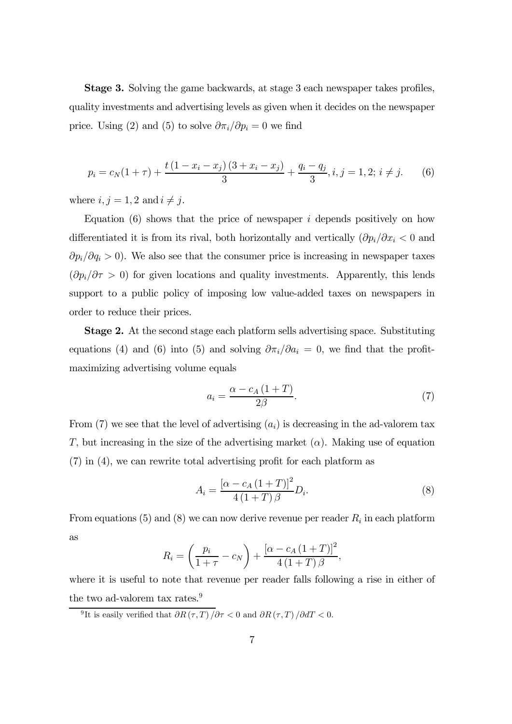Stage 3. Solving the game backwards, at stage 3 each newspaper takes profiles, quality investments and advertising levels as given when it decides on the newspaper price. Using (2) and (5) to solve  $\partial \pi_i/\partial p_i = 0$  we find

$$
p_i = c_N(1+\tau) + \frac{t(1-x_i-x_j)(3+x_i-x_j)}{3} + \frac{q_i-q_j}{3}, i, j = 1, 2; i \neq j.
$$
 (6)

where  $i, j = 1, 2$  and  $i \neq j$ .

Equation  $(6)$  shows that the price of newspaper i depends positively on how differentiated it is from its rival, both horizontally and vertically  $(\partial p_i/\partial x_i < 0$  and  $\partial p_i/\partial q_i > 0$ ). We also see that the consumer price is increasing in newspaper taxes  $(\partial p_i/\partial \tau > 0)$  for given locations and quality investments. Apparently, this lends support to a public policy of imposing low value-added taxes on newspapers in order to reduce their prices.

Stage 2. At the second stage each platform sells advertising space. Substituting equations (4) and (6) into (5) and solving  $\partial \pi_i/\partial a_i = 0$ , we find that the profitmaximizing advertising volume equals

$$
a_i = \frac{\alpha - c_A \left(1 + T\right)}{2\beta}.\tag{7}
$$

From (7) we see that the level of advertising  $(a_i)$  is decreasing in the ad-valorem tax T, but increasing in the size of the advertising market  $(\alpha)$ . Making use of equation (7) in (4), we can rewrite total advertising profit for each platform as

$$
A_{i} = \frac{\left[\alpha - c_{A} \left(1 + T\right)\right]^{2}}{4 \left(1 + T\right) \beta} D_{i}.
$$
\n(8)

From equations (5) and (8) we can now derive revenue per reader  $R_i$  in each platform as

$$
R_i = \left(\frac{p_i}{1+\tau} - c_N\right) + \frac{\left[\alpha - c_A\left(1+T\right)\right]^2}{4\left(1+T\right)\beta},
$$

where it is useful to note that revenue per reader falls following a rise in either of the two ad-valorem tax rates.<sup>9</sup>

<sup>9</sup>It is easily verified that  $\frac{\partial R(\tau, T)}{\partial \tau} < 0$  and  $\frac{\partial R(\tau, T)}{\partial dT} < 0$ .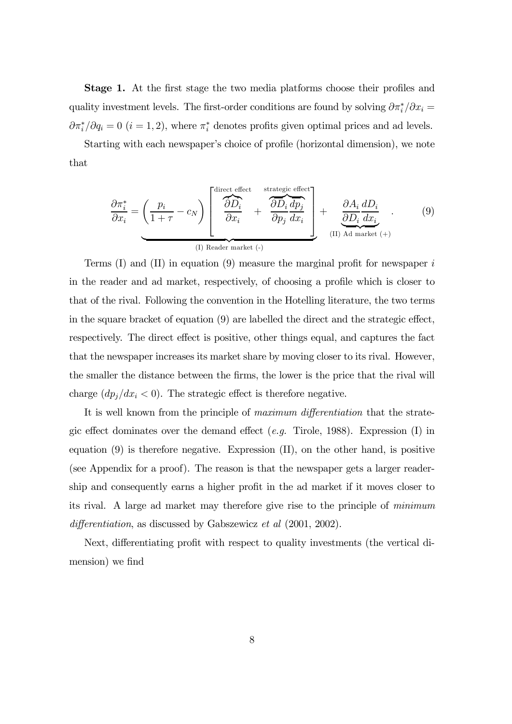Stage 1. At the first stage the two media platforms choose their profiles and quality investment levels. The first-order conditions are found by solving  $\partial \pi_i^* / \partial x_i =$  $\partial \pi_i^* / \partial q_i = 0$   $(i = 1, 2)$ , where  $\pi_i^*$  denotes profits given optimal prices and ad levels.

Starting with each newspaper's choice of profile (horizontal dimension), we note that

$$
\frac{\partial \pi_i^*}{\partial x_i} = \underbrace{\left(\frac{p_i}{1+\tau} - c_N\right)}_{\text{(I) Reader market (-)}} \left[\begin{array}{c}\n\frac{\partial D_i}{\partial D_i} & \text{strategies effect} \\
\frac{\partial D_i}{\partial x_i} & \frac{\partial D_i}{\partial p_j} \frac{d p_j}{d x_i} \\
\vdots \\
\frac{\partial D_i}{\partial x_i} & \frac{\partial A_i}{\partial D_i} \frac{d D_i}{d x_i} \\
\vdots \\
\frac{\partial A_i}{\partial x_i} & \text{(II) Add market (+)}\n\end{array}\right]
$$
\n
$$
(9)
$$

Terms  $(I)$  and  $(II)$  in equation  $(9)$  measure the marginal profit for newspaper i in the reader and ad market, respectively, of choosing a profile which is closer to that of the rival. Following the convention in the Hotelling literature, the two terms in the square bracket of equation (9) are labelled the direct and the strategic effect, respectively. The direct effect is positive, other things equal, and captures the fact that the newspaper increases its market share by moving closer to its rival. However, the smaller the distance between the firms, the lower is the price that the rival will charge  $(dp_j/dx_i < 0)$ . The strategic effect is therefore negative.

It is well known from the principle of maximum differentiation that the strategic effect dominates over the demand effect (*e.g.* Tirole, 1988). Expression (I) in equation (9) is therefore negative. Expression (II), on the other hand, is positive (see Appendix for a proof). The reason is that the newspaper gets a larger readership and consequently earns a higher profit in the ad market if it moves closer to its rival. A large ad market may therefore give rise to the principle of minimum differentiation, as discussed by Gabszewicz et al  $(2001, 2002)$ .

Next, differentiating profit with respect to quality investments (the vertical dimension) we find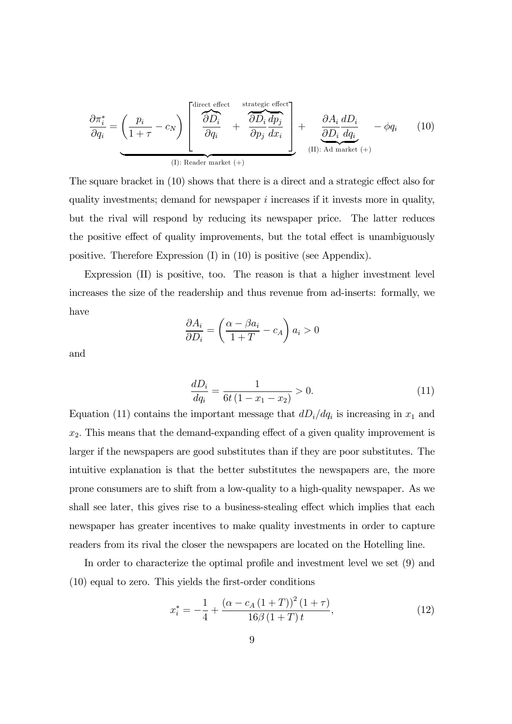$$
\frac{\partial \pi_i^*}{\partial q_i} = \left(\frac{p_i}{1+\tau} - c_N\right) \left[ \underbrace{\frac{\partial D_i}{\partial p_i}}_{(I)} + \underbrace{\frac{\partial D_i}{\partial p_j} \frac{dp_j}{dx_i}}_{(II): \text{ Rader market } (+)} + \underbrace{\frac{\partial A_i}{\partial D_i} \frac{dD_i}{dq_i}}_{(II): \text{Ad market } (+)} - \phi q_i \right] \tag{10}
$$

The square bracket in (10) shows that there is a direct and a strategic effect also for quality investments; demand for newspaper  $i$  increases if it invests more in quality, but the rival will respond by reducing its newspaper price. The latter reduces the positive effect of quality improvements, but the total effect is unambiguously positive. Therefore Expression (I) in (10) is positive (see Appendix).

Expression (II) is positive, too. The reason is that a higher investment level increases the size of the readership and thus revenue from ad-inserts: formally, we have

$$
\frac{\partial A_i}{\partial D_i} = \left(\frac{\alpha - \beta a_i}{1 + T} - c_A\right) a_i > 0
$$

and

$$
\frac{dD_i}{dq_i} = \frac{1}{6t(1 - x_1 - x_2)} > 0.
$$
\n(11)

Equation (11) contains the important message that  $dD_i/dq_i$  is increasing in  $x_1$  and  $x_2$ . This means that the demand-expanding effect of a given quality improvement is larger if the newspapers are good substitutes than if they are poor substitutes. The intuitive explanation is that the better substitutes the newspapers are, the more prone consumers are to shift from a low-quality to a high-quality newspaper. As we shall see later, this gives rise to a business-stealing effect which implies that each newspaper has greater incentives to make quality investments in order to capture readers from its rival the closer the newspapers are located on the Hotelling line.

In order to characterize the optimal profile and investment level we set (9) and (10) equal to zero. This yields the first-order conditions

$$
x_i^* = -\frac{1}{4} + \frac{\left(\alpha - c_A \left(1 + T\right)\right)^2 \left(1 + \tau\right)}{16\beta \left(1 + T\right)t},\tag{12}
$$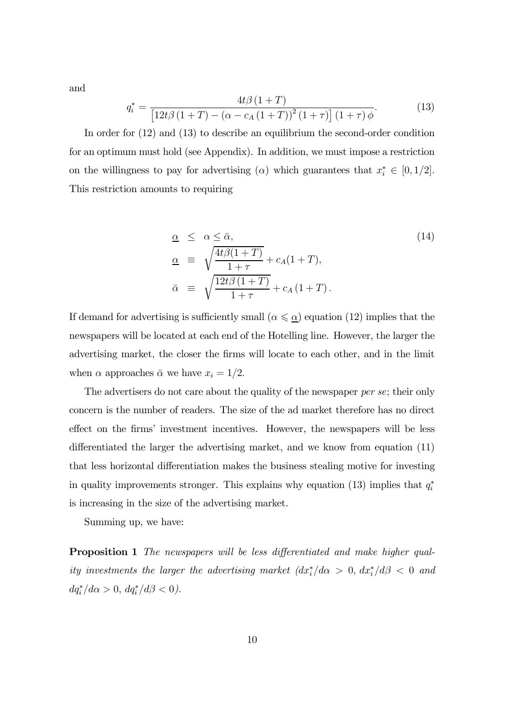and

$$
q_i^* = \frac{4t\beta (1+T)}{\left[12t\beta (1+T) - (\alpha - c_A(1+T))^2 (1+\tau)\right] (1+\tau)\phi}.
$$
 (13)

In order for (12) and (13) to describe an equilibrium the second-order condition for an optimum must hold (see Appendix). In addition, we must impose a restriction on the willingness to pay for advertising ( $\alpha$ ) which guarantees that  $x_i^* \in [0, 1/2]$ . This restriction amounts to requiring

$$
\begin{array}{rcl}\n\alpha & \leq & \alpha \leq \bar{\alpha}, \\
\alpha & \equiv & \sqrt{\frac{4t\beta(1+T)}{1+\tau}} + c_A(1+T), \\
\bar{\alpha} & \equiv & \sqrt{\frac{12t\beta(1+T)}{1+\tau}} + c_A(1+T).\n\end{array} \tag{14}
$$

If demand for advertising is sufficiently small ( $\alpha \leq \underline{\alpha}$ ) equation (12) implies that the newspapers will be located at each end of the Hotelling line. However, the larger the advertising market, the closer the firms will locate to each other, and in the limit when  $\alpha$  approaches  $\bar{\alpha}$  we have  $x_i = 1/2$ .

The advertisers do not care about the quality of the newspaper *per se*; their only concern is the number of readers. The size of the ad market therefore has no direct effect on the firms' investment incentives. However, the newspapers will be less differentiated the larger the advertising market, and we know from equation (11) that less horizontal differentiation makes the business stealing motive for investing in quality improvements stronger. This explains why equation (13) implies that  $q_i^*$ is increasing in the size of the advertising market.

Summing up, we have:

Proposition 1 The newspapers will be less differentiated and make higher quality investments the larger the advertising market  $(dx_i^*/d\alpha > 0, dx_i^*/d\beta < 0$  and  $dq_i^* / d\alpha > 0, \, dq_i^* / d\beta < 0$ ).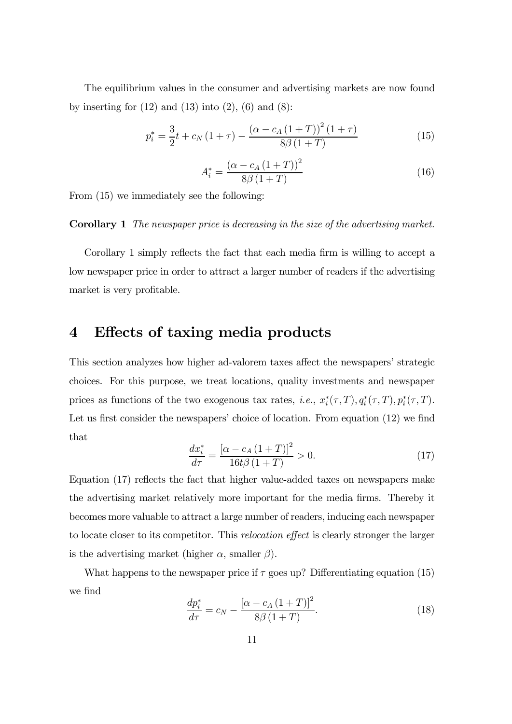The equilibrium values in the consumer and advertising markets are now found by inserting for  $(12)$  and  $(13)$  into  $(2)$ ,  $(6)$  and  $(8)$ :

$$
p_i^* = \frac{3}{2}t + c_N(1+\tau) - \frac{(\alpha - c_A(1+T))^2(1+\tau)}{8\beta(1+T)}
$$
(15)

$$
A_i^* = \frac{(\alpha - c_A (1+T))^2}{8\beta (1+T)}
$$
(16)

From (15) we immediately see the following:

#### Corollary 1 The newspaper price is decreasing in the size of the advertising market.

Corollary 1 simply reflects the fact that each media firm is willing to accept a low newspaper price in order to attract a larger number of readers if the advertising market is very profitable.

### 4 Effects of taxing media products

This section analyzes how higher ad-valorem taxes affect the newspapers' strategic choices. For this purpose, we treat locations, quality investments and newspaper prices as functions of the two exogenous tax rates, *i.e.*,  $x_i^*(\tau, T), q_i^*(\tau, T), p_i^*(\tau, T)$ . Let us first consider the newspapers' choice of location. From equation (12) we find that

$$
\frac{dx_i^*}{d\tau} = \frac{[\alpha - c_A (1+T)]^2}{16t\beta (1+T)} > 0.
$$
\n(17)

Equation (17) reflects the fact that higher value-added taxes on newspapers make the advertising market relatively more important for the media firms. Thereby it becomes more valuable to attract a large number of readers, inducing each newspaper to locate closer to its competitor. This relocation effect is clearly stronger the larger is the advertising market (higher  $\alpha$ , smaller  $\beta$ ).

What happens to the newspaper price if  $\tau$  goes up? Differentiating equation (15) we find

$$
\frac{dp_i^*}{d\tau} = c_N - \frac{\left[\alpha - c_A \left(1 + T\right)\right]^2}{8\beta \left(1 + T\right)}.
$$
\n(18)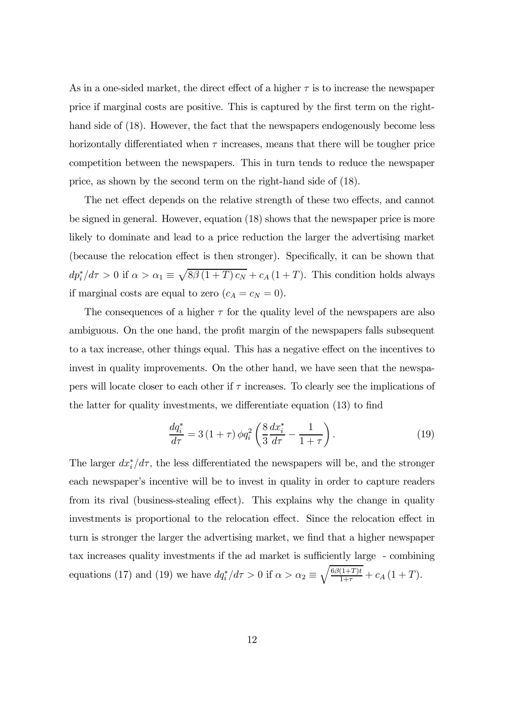As in a one-sided market, the direct effect of a higher  $\tau$  is to increase the newspaper price if marginal costs are positive. This is captured by the first term on the righthand side of  $(18)$ . However, the fact that the newspapers endogenously become less horizontally differentiated when  $\tau$  increases, means that there will be tougher price competition between the newspapers. This in turn tends to reduce the newspaper price, as shown by the second term on the right-hand side of (18).

The net effect depends on the relative strength of these two effects, and cannot be signed in general. However, equation (18) shows that the newspaper price is more likely to dominate and lead to a price reduction the larger the advertising market (because the relocation effect is then stronger). Specifically, it can be shown that  $dp_i^*/d\tau > 0$  if  $\alpha > \alpha_1 \equiv \sqrt{8\beta(1+T)c_N} + c_A(1+T)$ . This condition holds always if marginal costs are equal to zero  $(c_A = c_N = 0)$ .

The consequences of a higher  $\tau$  for the quality level of the newspapers are also ambiguous. On the one hand, the profit margin of the newspapers falls subsequent to a tax increase, other things equal. This has a negative effect on the incentives to invest in quality improvements. On the other hand, we have seen that the newspapers will locate closer to each other if  $\tau$  increases. To clearly see the implications of the latter for quality investments, we differentiate equation (13) to find

$$
\frac{dq_i^*}{d\tau} = 3(1+\tau)\phi q_i^2 \left(\frac{8}{3}\frac{dx_i^*}{d\tau} - \frac{1}{1+\tau}\right).
$$
 (19)

The larger  $dx_i^*/d\tau$ , the less differentiated the newspapers will be, and the stronger each newspaper's incentive will be to invest in quality in order to capture readers from its rival (business-stealing effect). This explains why the change in quality investments is proportional to the relocation effect. Since the relocation effect in turn is stronger the larger the advertising market, we find that a higher newspaper tax increases quality investments if the ad market is sufficiently large - combining equations (17) and (19) we have  $dq_i^*/d\tau > 0$  if  $\alpha > \alpha_2 \equiv \sqrt{\frac{6\beta(1+T)t}{1+\tau}} + c_A(1+T)$ .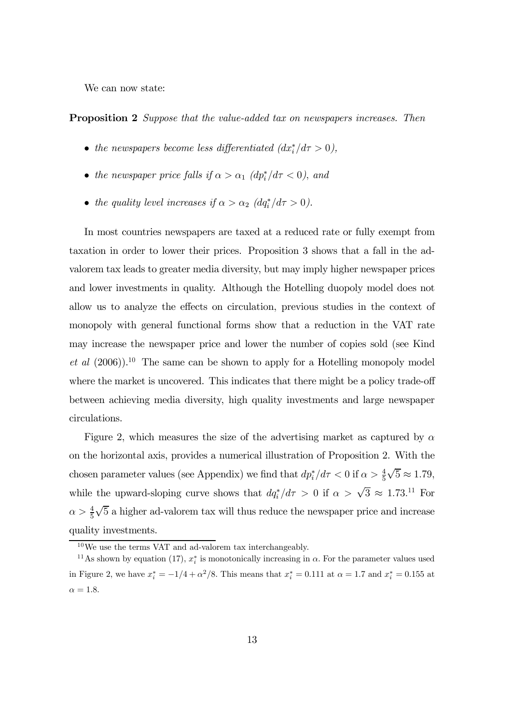We can now state:

**Proposition 2** Suppose that the value-added tax on newspapers increases. Then

- the newspapers become less differentiated  $(dx^*_{i}/d\tau > 0)$ ,
- the newspaper price falls if  $\alpha > \alpha_1$  (dp<sup>\*</sup>/d $\tau < 0$ ), and
- the quality level increases if  $\alpha > \alpha_2$   $(dq_i^*/d\tau > 0)$ .

In most countries newspapers are taxed at a reduced rate or fully exempt from taxation in order to lower their prices. Proposition 3 shows that a fall in the advalorem tax leads to greater media diversity, but may imply higher newspaper prices and lower investments in quality. Although the Hotelling duopoly model does not allow us to analyze the effects on circulation, previous studies in the context of monopoly with general functional forms show that a reduction in the VAT rate may increase the newspaper price and lower the number of copies sold (see Kind et al  $(2006)$ .<sup>10</sup> The same can be shown to apply for a Hotelling monopoly model where the market is uncovered. This indicates that there might be a policy trade-off between achieving media diversity, high quality investments and large newspaper circulations.

Figure 2, which measures the size of the advertising market as captured by  $\alpha$ on the horizontal axis, provides a numerical illustration of Proposition 2. With the chosen parameter values (see Appendix) we find that  $dp_i^*/d\tau < 0$  if  $\alpha > \frac{4}{5}\sqrt{5} \approx 1.79$ , while the upward-sloping curve shows that  $dq_i^*/d\tau > 0$  if  $\alpha > \sqrt{3} \approx 1.73$ .<sup>11</sup> For  $\alpha > \frac{4}{5}\sqrt{5}$  a higher ad-valorem tax will thus reduce the newspaper price and increase quality investments.

<sup>10</sup>We use the terms VAT and ad-valorem tax interchangeably.

<sup>&</sup>lt;sup>11</sup>As shown by equation (17),  $x_i^*$  is monotonically increasing in  $\alpha$ . For the parameter values used in Figure 2, we have  $x_i^* = -1/4 + \alpha^2/8$ . This means that  $x_i^* = 0.111$  at  $\alpha = 1.7$  and  $x_i^* = 0.155$  at  $\alpha = 1.8.$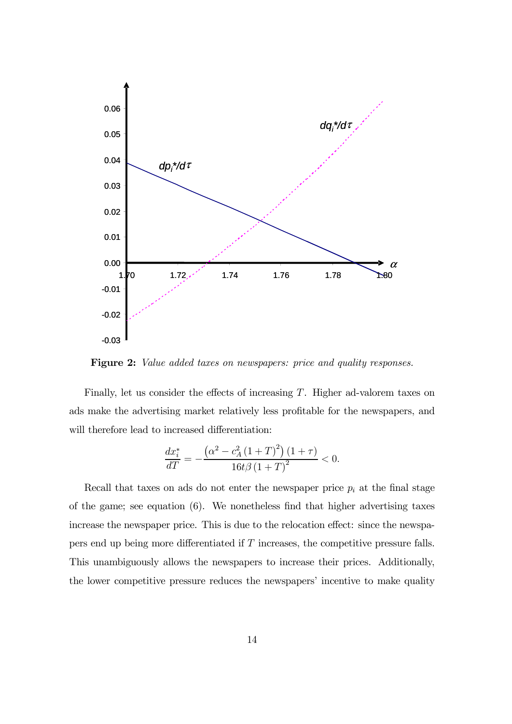

Figure 2: Value added taxes on newspapers: price and quality responses.

Finally, let us consider the effects of increasing  $T$ . Higher ad-valorem taxes on ads make the advertising market relatively less profitable for the newspapers, and will therefore lead to increased differentiation:

$$
\frac{dx_i^*}{dT} = -\frac{\left(\alpha^2 - c_A^2 \left(1 + T\right)^2\right) \left(1 + \tau\right)}{16t\beta \left(1 + T\right)^2} < 0.
$$

Recall that taxes on ads do not enter the newspaper price  $p_i$  at the final stage of the game; see equation (6). We nonetheless find that higher advertising taxes increase the newspaper price. This is due to the relocation effect: since the newspapers end up being more differentiated if T increases, the competitive pressure falls. This unambiguously allows the newspapers to increase their prices. Additionally, the lower competitive pressure reduces the newspapers' incentive to make quality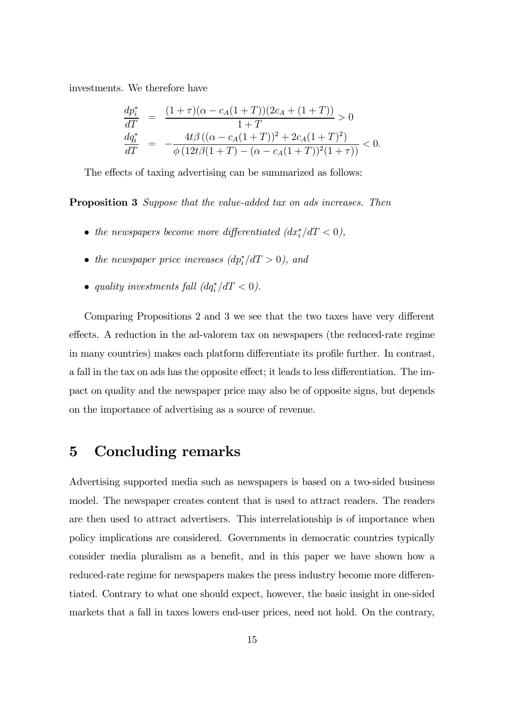investments. We therefore have

$$
\frac{dp_i^*}{dT} = \frac{(1+\tau)(\alpha - c_A(1+T))(2c_A + (1+T))}{1+T} > 0
$$
  
\n
$$
\frac{dq_i^*}{dT} = -\frac{4t\beta((\alpha - c_A(1+T))^2 + 2c_A(1+T)^2)}{\phi(12t\beta(1+T) - (\alpha - c_A(1+T))^2(1+\tau))} < 0.
$$

The effects of taxing advertising can be summarized as follows:

Proposition 3 Suppose that the value-added tax on ads increases. Then

- the newspapers become more differentiated  $(dx^*_{i}/dT < 0)$ ,
- the newspaper price increases  $(dp_i^*/dT > 0)$ , and
- quality investments fall  $(dq_i^*/dT < 0)$ .

Comparing Propositions 2 and 3 we see that the two taxes have very different effects. A reduction in the ad-valorem tax on newspapers (the reduced-rate regime in many countries) makes each platform differentiate its profile further. In contrast, a fall in the tax on ads has the opposite effect; it leads to less differentiation. The impact on quality and the newspaper price may also be of opposite signs, but depends on the importance of advertising as a source of revenue.

## 5 Concluding remarks

Advertising supported media such as newspapers is based on a two-sided business model. The newspaper creates content that is used to attract readers. The readers are then used to attract advertisers. This interrelationship is of importance when policy implications are considered. Governments in democratic countries typically consider media pluralism as a benefit, and in this paper we have shown how a reduced-rate regime for newspapers makes the press industry become more differentiated. Contrary to what one should expect, however, the basic insight in one-sided markets that a fall in taxes lowers end-user prices, need not hold. On the contrary,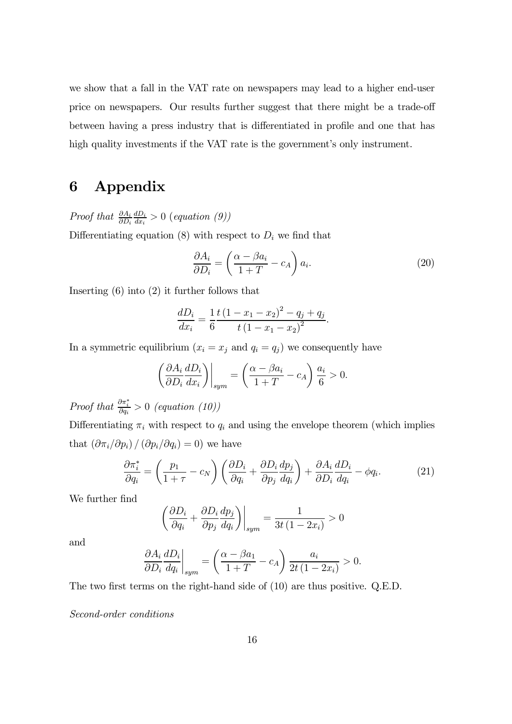we show that a fall in the VAT rate on newspapers may lead to a higher end-user price on newspapers. Our results further suggest that there might be a trade-off between having a press industry that is differentiated in profile and one that has high quality investments if the VAT rate is the government's only instrument.

# 6 Appendix

*Proof that*  $\frac{\partial A_i}{\partial D_i}$  $\frac{dD_i}{dx_i} > 0$  (equation (9)) Differentiating equation (8) with respect to  $D_i$  we find that

$$
\frac{\partial A_i}{\partial D_i} = \left(\frac{\alpha - \beta a_i}{1 + T} - c_A\right) a_i.
$$
\n(20)

Inserting (6) into (2) it further follows that

$$
\frac{dD_i}{dx_i} = \frac{1}{6} \frac{t(1 - x_1 - x_2)^2 - q_i + q_j}{t(1 - x_1 - x_2)^2}.
$$

In a symmetric equilibrium  $(x_i = x_j \text{ and } q_i = q_j)$  we consequently have

$$
\left(\frac{\partial A_i}{\partial D_i}\frac{dD_i}{dx_i}\right)\bigg|_{sym} = \left(\frac{\alpha - \beta a_i}{1+T} - c_A\right)\frac{a_i}{6} > 0.
$$

Proof that  $\frac{\partial \pi_i^*}{\partial q_i} > 0$  (equation (10))

Differentiating  $\pi_i$  with respect to  $q_i$  and using the envelope theorem (which implies that  $\left(\partial \pi_i/\partial p_i\right)/\left(\partial p_i/\partial q_i\right)=0$ ) we have

$$
\frac{\partial \pi_i^*}{\partial q_i} = \left(\frac{p_1}{1+\tau} - c_N\right) \left(\frac{\partial D_i}{\partial q_i} + \frac{\partial D_i}{\partial p_j} \frac{dp_j}{dq_i}\right) + \frac{\partial A_i}{\partial D_i} \frac{dD_i}{dq_i} - \phi q_i.
$$
 (21)

We further find

$$
\left(\frac{\partial D_i}{\partial q_i} + \frac{\partial D_i}{\partial p_j} \frac{dp_j}{dq_i}\right)\Big|_{sym} = \frac{1}{3t\left(1 - 2x_i\right)} > 0
$$

and

$$
\left. \frac{\partial A_i}{\partial D_i} \frac{dD_i}{dq_i} \right|_{sym} = \left( \frac{\alpha - \beta a_1}{1 + T} - c_A \right) \frac{a_i}{2t (1 - 2x_i)} > 0.
$$

The two first terms on the right-hand side of (10) are thus positive. Q.E.D.

Second-order conditions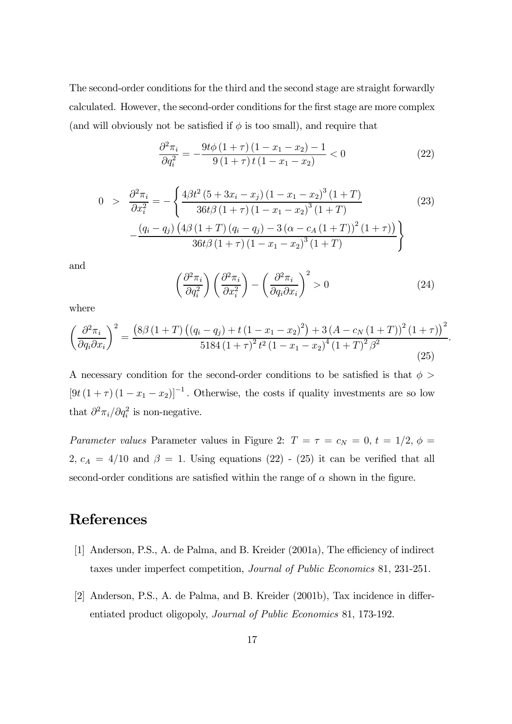The second-order conditions for the third and the second stage are straight forwardly calculated. However, the second-order conditions for the first stage are more complex (and will obviously not be satisfied if  $\phi$  is too small), and require that

$$
\frac{\partial^2 \pi_i}{\partial q_i^2} = -\frac{9t\phi \left(1+\tau\right)\left(1-x_1-x_2\right)-1}{9\left(1+\tau\right)t\left(1-x_1-x_2\right)} < 0\tag{22}
$$

$$
0 > \frac{\partial^2 \pi_i}{\partial x_i^2} = -\left\{ \frac{4\beta t^2 (5 + 3x_i - x_j) (1 - x_1 - x_2)^3 (1 + T)}{36t\beta (1 + \tau) (1 - x_1 - x_2)^3 (1 + T)} - \frac{(q_i - q_j) (4\beta (1 + T) (q_i - q_j) - 3(\alpha - c_A (1 + T))^2 (1 + \tau))}{36t\beta (1 + \tau) (1 - x_1 - x_2)^3 (1 + T)} \right\}
$$
(23)

and

$$
\left(\frac{\partial^2 \pi_i}{\partial q_i^2}\right) \left(\frac{\partial^2 \pi_i}{\partial x_i^2}\right) - \left(\frac{\partial^2 \pi_i}{\partial q_i \partial x_i}\right)^2 > 0
$$
\n(24)

where

$$
\left(\frac{\partial^2 \pi_i}{\partial q_i \partial x_i}\right)^2 = \frac{\left(8\beta \left(1+T\right) \left(\left(q_i - q_j\right) + t \left(1 - x_1 - x_2\right)^2\right) + 3 \left(A - c_N \left(1+T\right)\right)^2 \left(1+\tau\right)\right)^2}{5184 \left(1+\tau\right)^2 t^2 \left(1 - x_1 - x_2\right)^4 \left(1+T\right)^2 \beta^2}.
$$
\n(25)

A necessary condition for the second-order conditions to be satisfied is that  $\phi$  $[9t(1 + \tau)(1 - x_1 - x_2)]^{-1}$ . Otherwise, the costs if quality investments are so low that  $\partial^2 \pi_i / \partial q_i^2$  is non-negative.

Parameter values Parameter values in Figure 2:  $T = \tau = c_N = 0, t = 1/2, \phi =$ 2,  $c_A = 4/10$  and  $\beta = 1$ . Using equations (22) - (25) it can be verified that all second-order conditions are satisfied within the range of  $\alpha$  shown in the figure.

# References

- [1] Anderson, P.S., A. de Palma, and B. Kreider (2001a), The efficiency of indirect taxes under imperfect competition, Journal of Public Economics 81, 231-251.
- [2] Anderson, P.S., A. de Palma, and B. Kreider (2001b), Tax incidence in differentiated product oligopoly, Journal of Public Economics 81, 173-192.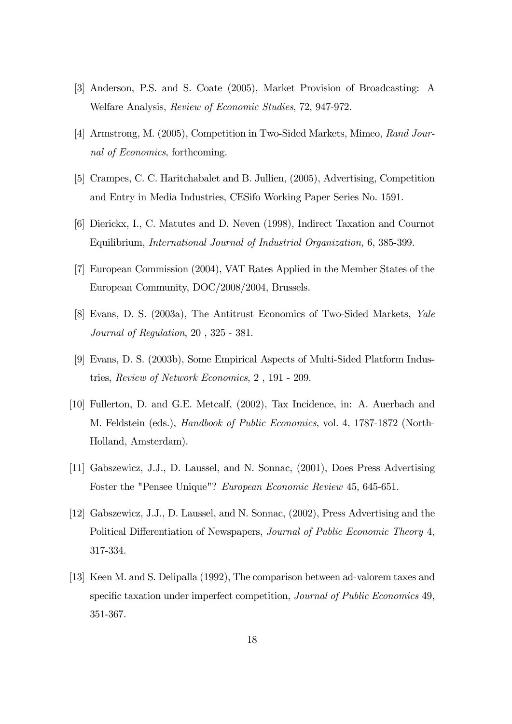- [3] Anderson, P.S. and S. Coate (2005), Market Provision of Broadcasting: A Welfare Analysis, Review of Economic Studies, 72, 947-972.
- [4] Armstrong, M. (2005), Competition in Two-Sided Markets, Mimeo, Rand Journal of Economics, forthcoming.
- [5] Crampes, C. C. Haritchabalet and B. Jullien, (2005), Advertising, Competition and Entry in Media Industries, CESifo Working Paper Series No. 1591.
- [6] Dierickx, I., C. Matutes and D. Neven (1998), Indirect Taxation and Cournot Equilibrium, International Journal of Industrial Organization, 6, 385-399.
- [7] European Commission (2004), VAT Rates Applied in the Member States of the European Community, DOC/2008/2004, Brussels.
- [8] Evans, D. S. (2003a), The Antitrust Economics of Two-Sided Markets, Yale Journal of Regulation, 20 , 325 - 381.
- [9] Evans, D. S. (2003b), Some Empirical Aspects of Multi-Sided Platform Industries, Review of Network Economics, 2 , 191 - 209.
- [10] Fullerton, D. and G.E. Metcalf, (2002), Tax Incidence, in: A. Auerbach and M. Feldstein (eds.), Handbook of Public Economics, vol. 4, 1787-1872 (North-Holland, Amsterdam).
- [11] Gabszewicz, J.J., D. Laussel, and N. Sonnac, (2001), Does Press Advertising Foster the "Pensee Unique"? European Economic Review 45, 645-651.
- [12] Gabszewicz, J.J., D. Laussel, and N. Sonnac, (2002), Press Advertising and the Political Differentiation of Newspapers, Journal of Public Economic Theory 4, 317-334.
- [13] Keen M. and S. Delipalla (1992), The comparison between ad-valorem taxes and specific taxation under imperfect competition, Journal of Public Economics 49, 351-367.